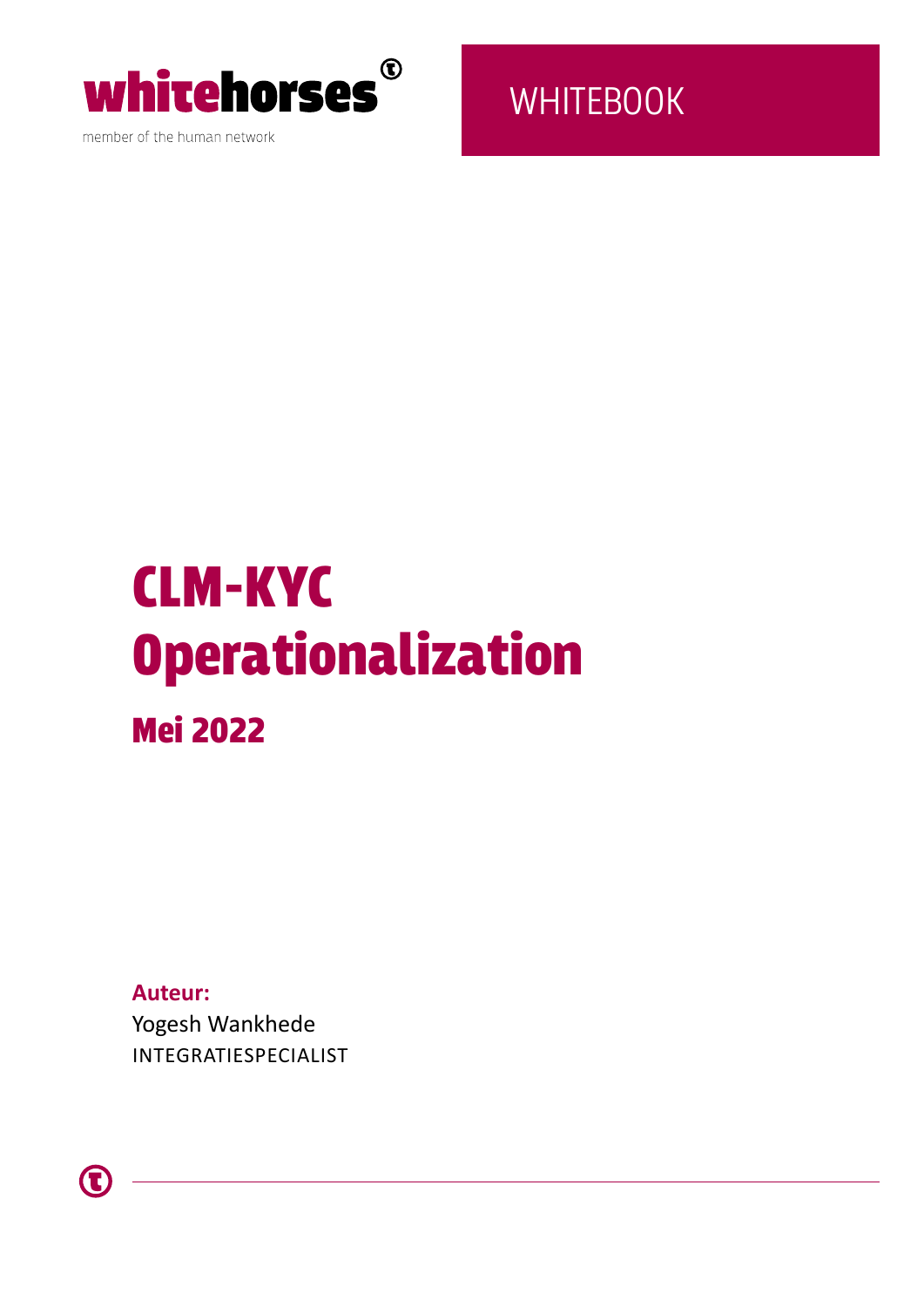

member of the human network

**WHITEBOOK** 

# CLM-KYC Operationalization Mei 2022

**Auteur:**  Yogesh Wankhede INTEGRATIESPECIALIST

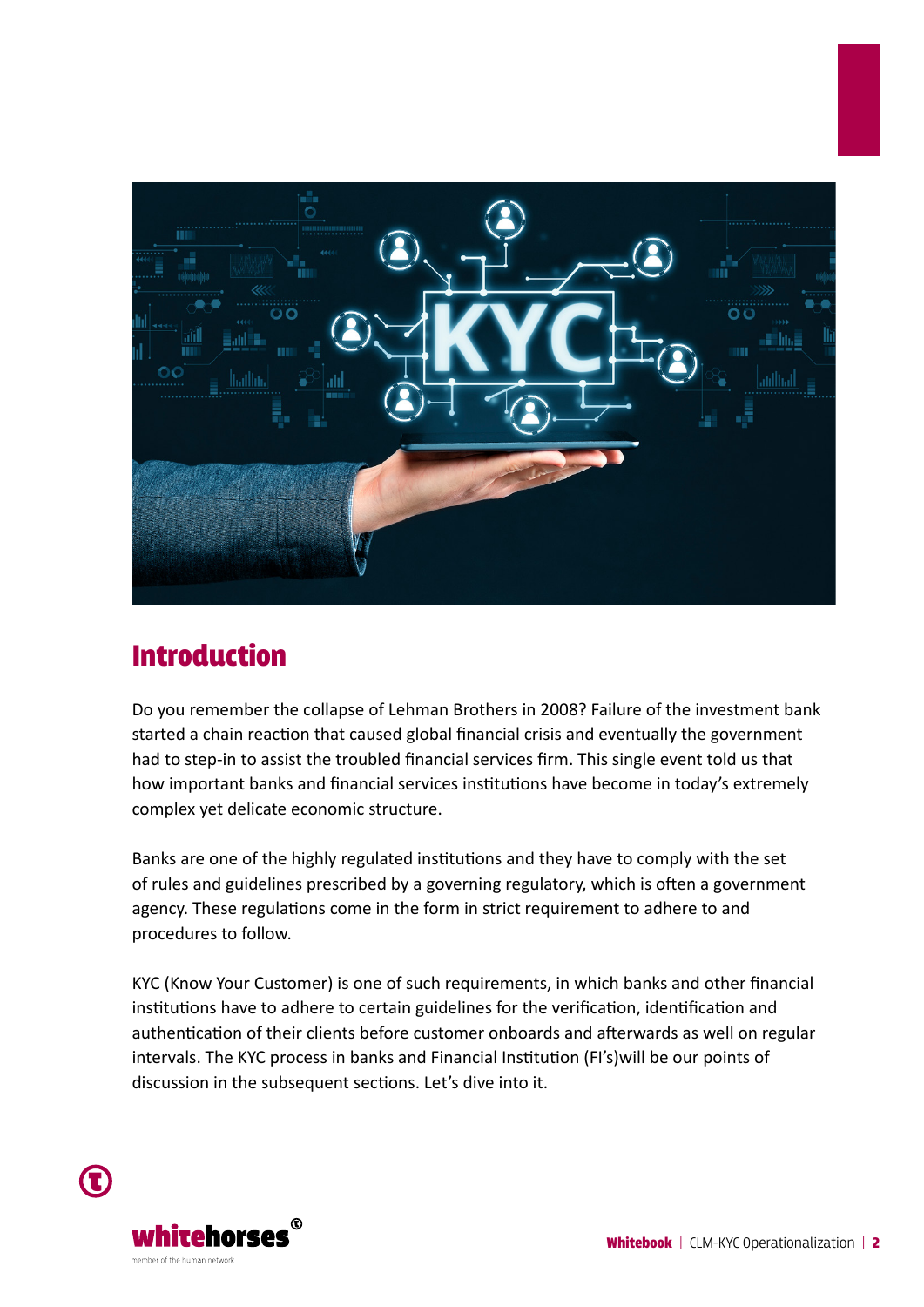

### Introduction

Do you remember the collapse of Lehman Brothers in 2008? Failure of the investment bank started a chain reaction that caused global financial crisis and eventually the government had to step-in to assist the troubled financial services firm. This single event told us that how important banks and financial services institutions have become in today's extremely complex yet delicate economic structure.

Banks are one of the highly regulated institutions and they have to comply with the set of rules and guidelines prescribed by a governing regulatory, which is often a government agency. These regulations come in the form in strict requirement to adhere to and procedures to follow.

KYC (Know Your Customer) is one of such requirements, in which banks and other financial institutions have to adhere to certain guidelines for the verification, identification and authentication of their clients before customer onboards and afterwards as well on regular intervals. The KYC process in banks and Financial Institution (FI's)will be our points of discussion in the subsequent sections. Let's dive into it.

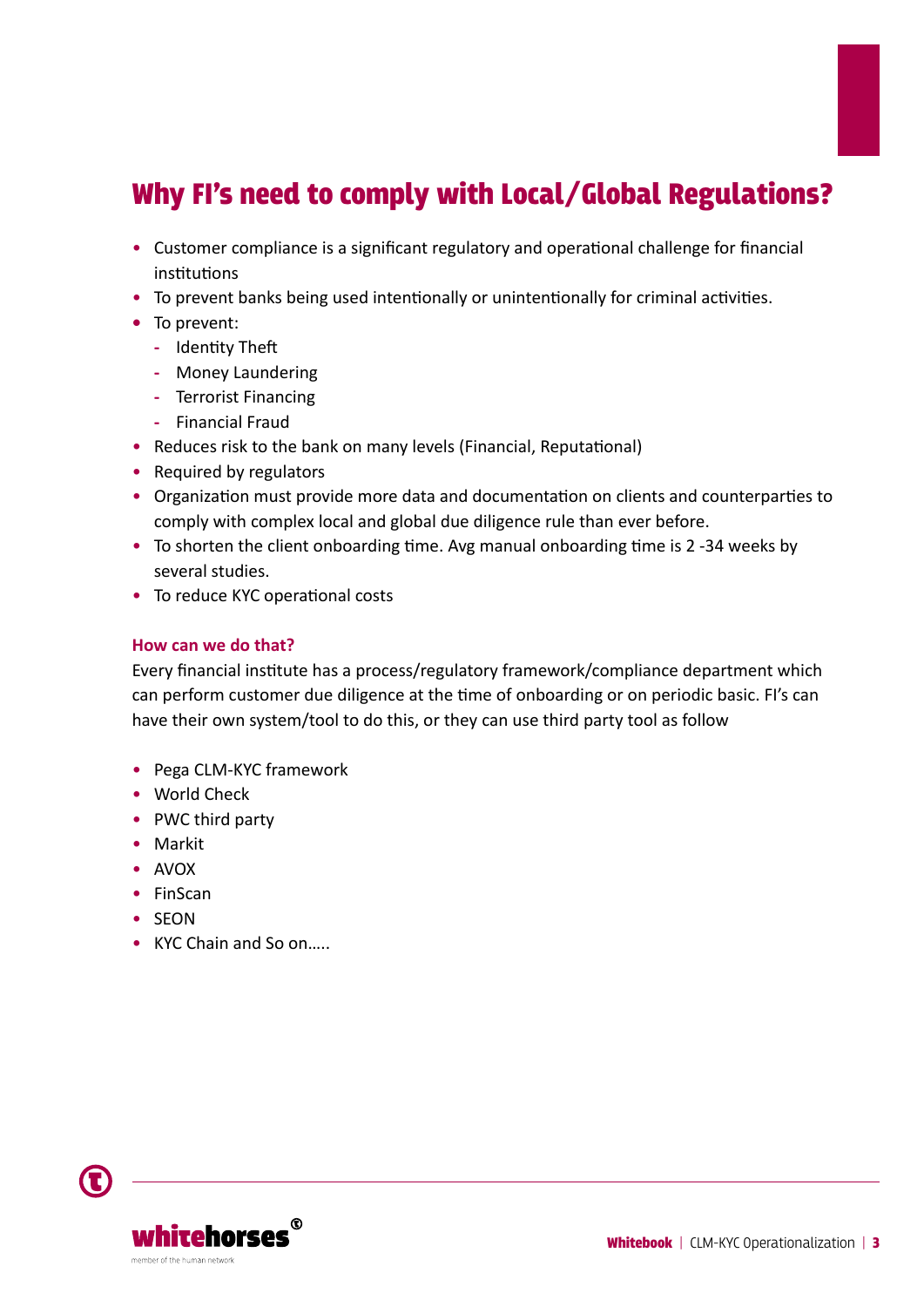# Why FI's need to comply with Local/Global Regulations?

- Customer compliance is a significant regulatory and operational challenge for financial institutions
- To prevent banks being used intentionally or unintentionally for criminal activities.
- **•** To prevent:
	- **-** Identity Theft
	- **-** Money Laundering
	- **-** Terrorist Financing
	- **-** Financial Fraud
- Reduces risk to the bank on many levels (Financial, Reputational)
- Required by regulators
- Organization must provide more data and documentation on clients and counterparties to comply with complex local and global due diligence rule than ever before.
- To shorten the client onboarding time. Avg manual onboarding time is 2 -34 weeks by several studies.
- To reduce KYC operational costs

#### **How can we do that?**

Every financial institute has a process/regulatory framework/compliance department which can perform customer due diligence at the time of onboarding or on periodic basic. FI's can have their own system/tool to do this, or they can use third party tool as follow

- Pega CLM-KYC framework
- World Check
- PWC third party
- Markit
- AVOX
- FinScan
- SEON
- KYC Chain and So on.....

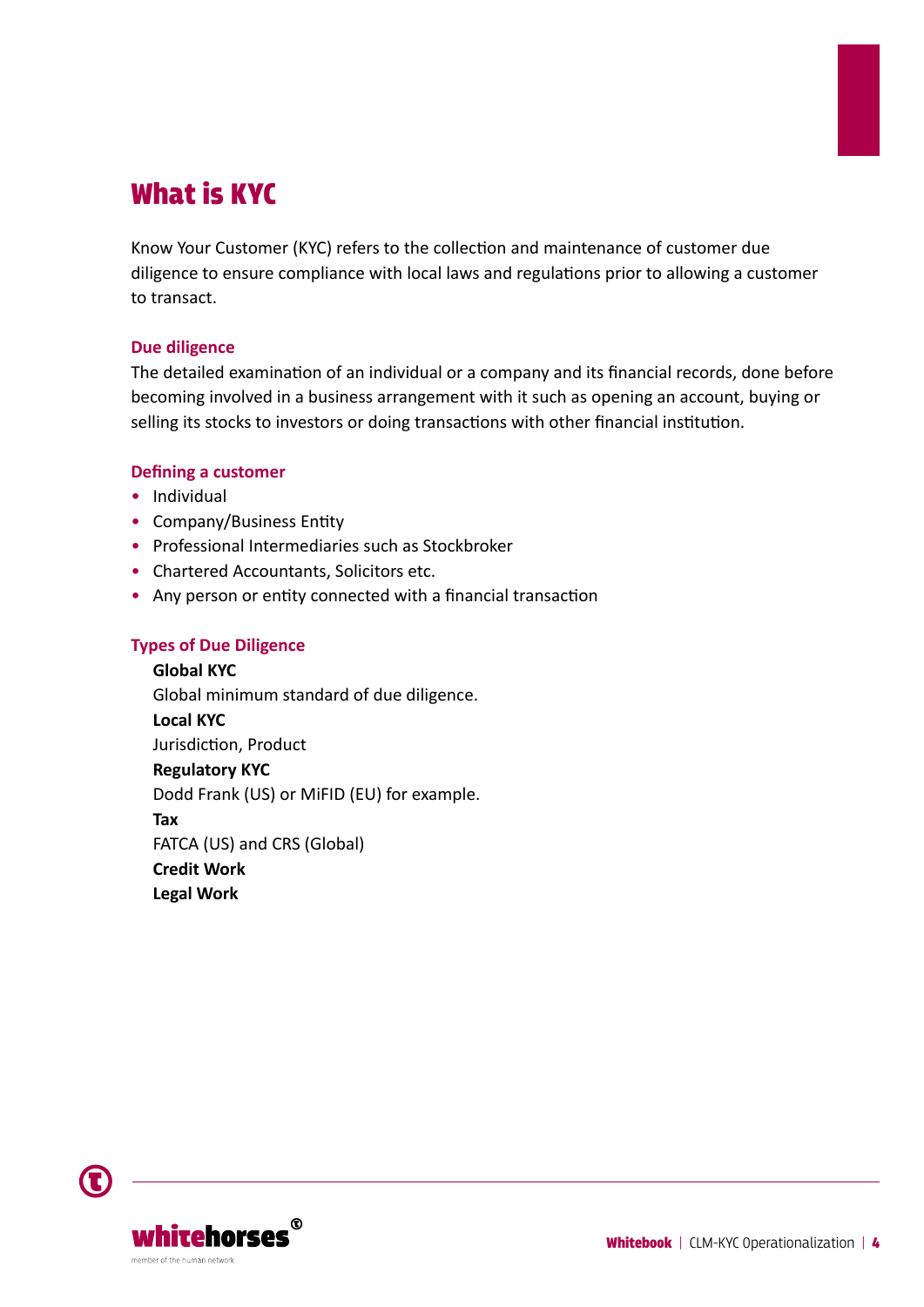# What is KYC

Know Your Customer (KYC) refers to the collection and maintenance of customer due diligence to ensure compliance with local laws and regulations prior to allowing a customer to transact.

#### **Due diligence**

The detailed examination of an individual or a company and its financial records, done before becoming involved in a business arrangement with it such as opening an account, buying or selling its stocks to investors or doing transactions with other financial institution.

#### **Defining a customer**

- Individual
- Company/Business Entity
- Professional Intermediaries such as Stockbroker
- Chartered Accountants, Solicitors etc.
- Any person or entity connected with a financial transaction

#### **Types of Due Diligence**

**Global KYC** Global minimum standard of due diligence. **Local KYC** Jurisdiction, Product **Regulatory KYC** Dodd Frank (US) or MiFID (EU) for example. **Tax** FATCA (US) and CRS (Global) **Credit Work Legal Work**

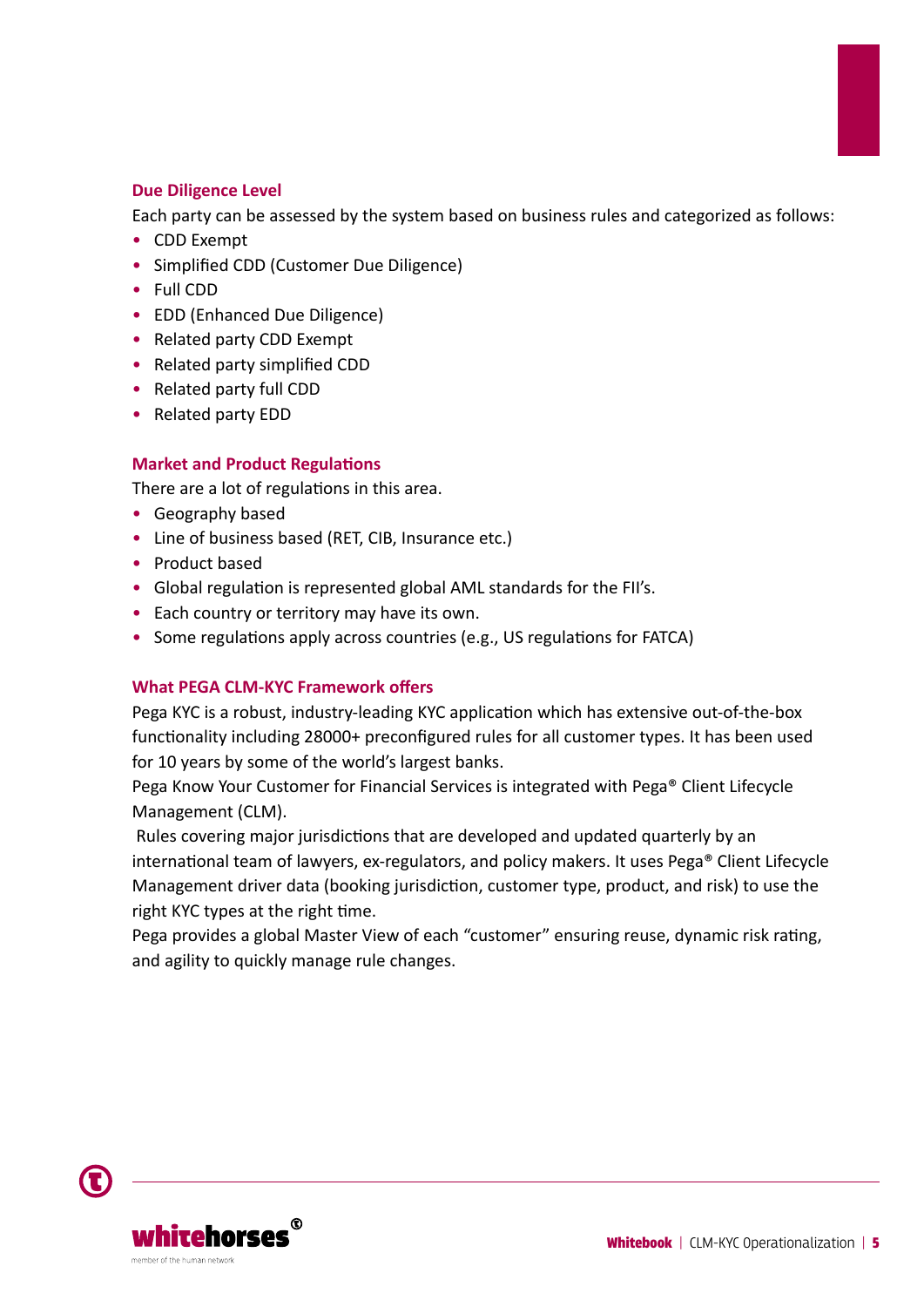#### **Due Diligence Level**

Each party can be assessed by the system based on business rules and categorized as follows:

- CDD Exempt
- Simplified CDD (Customer Due Diligence)
- Full CDD
- EDD (Enhanced Due Diligence)
- Related party CDD Exempt
- Related party simplified CDD
- Related party full CDD
- Related party EDD

#### **Market and Product Regulations**

There are a lot of regulations in this area.

- Geography based
- Line of business based (RET, CIB, Insurance etc.)
- Product based
- Global regulation is represented global AML standards for the FII's.
- Each country or territory may have its own.
- Some regulations apply across countries (e.g., US regulations for FATCA)

#### **What PEGA CLM-KYC Framework offers**

Pega KYC is a robust, industry-leading KYC application which has extensive out-of-the-box functionality including 28000+ preconfigured rules for all customer types. It has been used for 10 years by some of the world's largest banks.

Pega Know Your Customer for Financial Services is integrated with Pega® Client Lifecycle Management (CLM).

 Rules covering major jurisdictions that are developed and updated quarterly by an international team of lawyers, ex-regulators, and policy makers. It uses Pega® Client Lifecycle Management driver data (booking jurisdiction, customer type, product, and risk) to use the right KYC types at the right time.

Pega provides a global Master View of each "customer" ensuring reuse, dynamic risk rating, and agility to quickly manage rule changes.

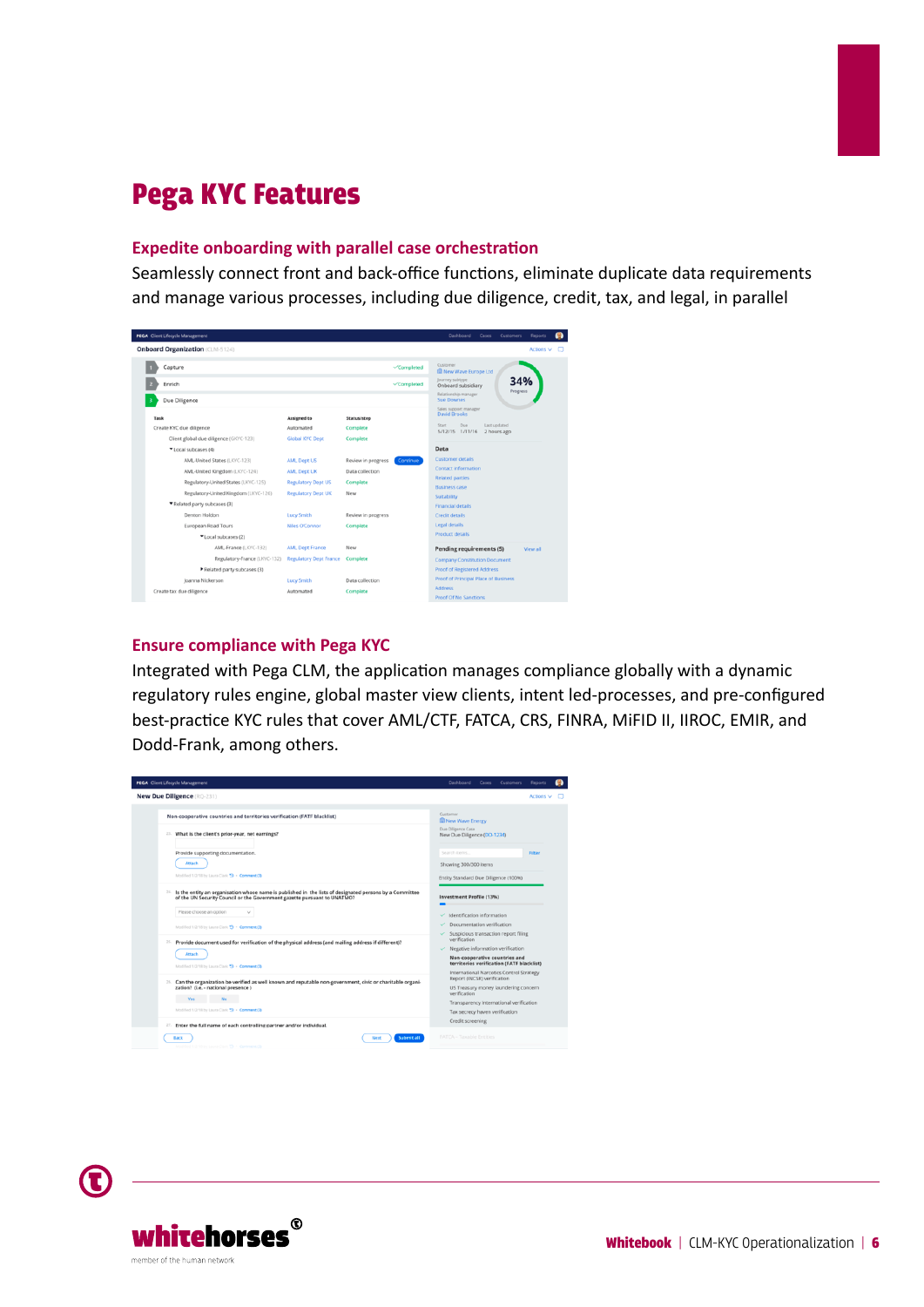# Pega KYC Features

#### **Expedite onboarding with parallel case orchestration**

Seamlessly connect front and back-office functions, eliminate duplicate data requirements and manage various processes, including due diligence, credit, tax, and legal, in parallel



#### **Ensure compliance with Pega KYC**

Integrated with Pega CLM, the application manages compliance globally with a dynamic regulatory rules engine, global master view clients, intent led-processes, and pre-configured best-practice KYC rules that cover AML/CTF, FATCA, CRS, FINRA, MiFID II, IIROC, EMIR, and Dodd-Frank, among others.



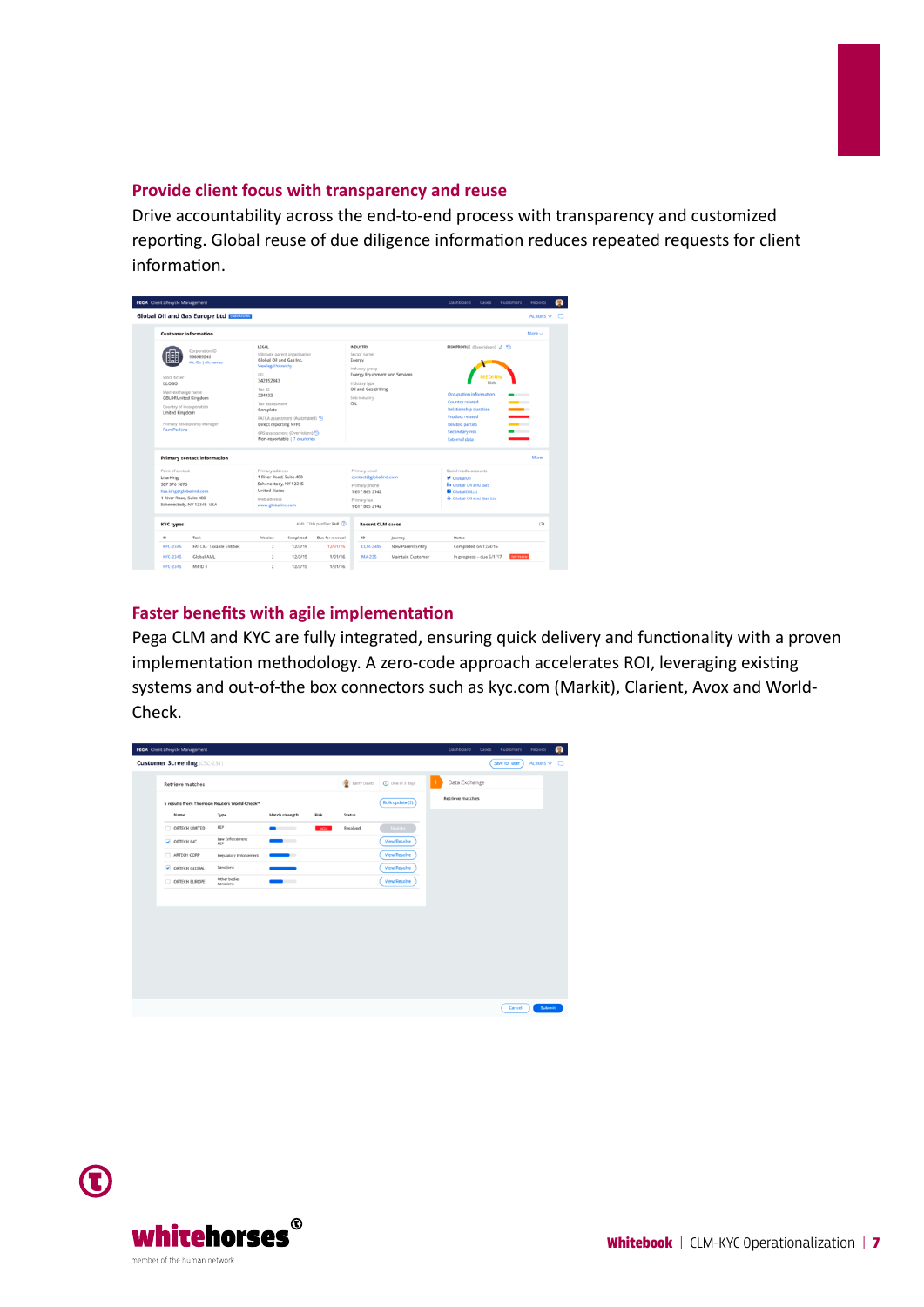#### **Provide client focus with transparency and reuse**

Drive accountability across the end-to-end process with transparency and customized reporting. Global reuse of due diligence information reduces repeated requests for client information.

| <b>PEGA</b> Client Lifecycle Management                                                                                                                                                                                                       |                                                                                                                                 |                                                                                                                                                                                      |                                                                                                                                                                          |                                                              | Dashboard<br>Cases                                                                                                                                                                                                          | <b>Customers</b> | <b>Reports</b>           |  |
|-----------------------------------------------------------------------------------------------------------------------------------------------------------------------------------------------------------------------------------------------|---------------------------------------------------------------------------------------------------------------------------------|--------------------------------------------------------------------------------------------------------------------------------------------------------------------------------------|--------------------------------------------------------------------------------------------------------------------------------------------------------------------------|--------------------------------------------------------------|-----------------------------------------------------------------------------------------------------------------------------------------------------------------------------------------------------------------------------|------------------|--------------------------|--|
| <b>Global Oil and Gas Europe Ltd ENERGING</b>                                                                                                                                                                                                 |                                                                                                                                 |                                                                                                                                                                                      |                                                                                                                                                                          |                                                              |                                                                                                                                                                                                                             |                  | Actions $\vee$ $\square$ |  |
| <b>Customer information</b>                                                                                                                                                                                                                   |                                                                                                                                 |                                                                                                                                                                                      |                                                                                                                                                                          |                                                              |                                                                                                                                                                                                                             |                  | More v                   |  |
| Corporation ID<br>998989545<br>Alt, IDs   Alt, names<br>Stock ticker<br>GLOBO<br>Main exchange name<br><b>GBLDRUnited Kingdom</b><br>Country of incorporation<br><b>United Kingdom</b><br>Primary Relationship Manager<br><b>Parn Perkins</b> | <b>LEGAL</b><br>View legal hierarchy<br>UEI<br>342352343<br>Tax ID<br>234432<br>Tax assessment<br>Complete                      | Ultimate parent organization<br>Global Oil and Gas Inc.<br>FATCA assessment (Automated) 5<br>Direct reporting NFFE<br>CRS assessment (Overridden) 59<br>Non-reportable   7 countries |                                                                                                                                                                          | <b>Energy Equipment and Services</b><br>Oil and Gas drilling | RISK PROFILE (Overridden) / 19<br>Occupation information<br>. .<br>Country related<br>__<br>Relationship duration<br>__<br><b>Product related</b><br><b>Related parties</b><br>$-$<br>Secondary risk<br>--<br>External data |                  |                          |  |
| <b>Primary contact information</b>                                                                                                                                                                                                            |                                                                                                                                 |                                                                                                                                                                                      |                                                                                                                                                                          |                                                              |                                                                                                                                                                                                                             |                  | More                     |  |
| Point of contact<br>Lisa King<br>987 976 9876<br>lisa.king@globalind.com<br>1 River Road, Suite 400<br>Schenectady, NY 12345 USA                                                                                                              | Primary address<br>1 River Road, Suite 400<br>Schenectady, NY 12345<br><b>United States</b><br>Web address<br>www.globalinc.com |                                                                                                                                                                                      | Primary email<br>contact@globalind.com<br>GinhalOil<br>Primary phone<br><b>D</b> GlobalOil.td<br>1 617 865 2142<br>Primary fax<br>16178652142<br><b>Recent CLM cases</b> |                                                              | Social media accounts<br>in Global Oil and Gas<br>& Global Oil and Gas Ltd.                                                                                                                                                 |                  |                          |  |
| <b>KYC types</b>                                                                                                                                                                                                                              |                                                                                                                                 | AML CDD profile: Full $\odot$                                                                                                                                                        |                                                                                                                                                                          |                                                              |                                                                                                                                                                                                                             | (2)              |                          |  |
| Task<br><b>ID</b>                                                                                                                                                                                                                             | Version<br>Completed                                                                                                            | Due for renewal                                                                                                                                                                      | <b>ID</b>                                                                                                                                                                | Journey                                                      | Status                                                                                                                                                                                                                      |                  |                          |  |
| KYC-2345<br>FATCA - Taxable Entities                                                                                                                                                                                                          | $\overline{2}$<br>12/3/15                                                                                                       | 12/31/15                                                                                                                                                                             | CLM-2345                                                                                                                                                                 | New Parent Entity                                            | Completed on 12/3/15                                                                                                                                                                                                        |                  |                          |  |
|                                                                                                                                                                                                                                               |                                                                                                                                 | 1/31/16                                                                                                                                                                              | MA-235                                                                                                                                                                   | Maintain Customer                                            | In progress - due 5/1/17                                                                                                                                                                                                    | <b>CON TRACK</b> |                          |  |
| KYC-2345<br>Global AML                                                                                                                                                                                                                        | $\overline{2}$<br>12/3/15                                                                                                       |                                                                                                                                                                                      |                                                                                                                                                                          |                                                              |                                                                                                                                                                                                                             |                  |                          |  |

#### **Faster benefits with agile implementation**

Pega CLM and KYC are fully integrated, ensuring quick delivery and functionality with a proven implementation methodology. A zero-code approach accelerates ROI, leveraging existing systems and out-of-the box connectors such as kyc.com (Markit), Clarient, Avox and World-Check.

|  | <b>PEGA</b> Client Lifecycle Management                                             |                           |                          |             |                 |                         | Dashboard<br>Cases<br><b>Customers</b><br>Reports<br>⋒ |
|--|-------------------------------------------------------------------------------------|---------------------------|--------------------------|-------------|-----------------|-------------------------|--------------------------------------------------------|
|  | <b>Customer Screening (CSC-231)</b>                                                 |                           |                          |             |                 |                         | Save for later<br>Actions $\vee$ $\square$             |
|  | <b>Retrieve matches</b><br>5 results from Thomson Reuters World-Check <sup>ne</sup> |                           |                          |             | Larry David     | <b>C</b> Due in 3 days  | Data Exchange                                          |
|  |                                                                                     |                           |                          |             | Bulk update (2) | <b>Retrieve matches</b> |                                                        |
|  | Name                                                                                | Type                      | Match strength           | Risk        | <b>Status</b>   |                         |                                                        |
|  | ORTECH LIMITED                                                                      | PEP                       |                          | <b>HIGH</b> | Resolved        | Update                  |                                                        |
|  | ORTECHING                                                                           | Law Enforcement<br>PEP    | . .                      |             |                 | <b>View/Resolve</b>     |                                                        |
|  | ARTECH CORP                                                                         | Regulatory Enforcement    | $\qquad \qquad$          |             |                 | <b>View/Resolve</b>     |                                                        |
|  | ORTECH GLOBAL                                                                       | Sanctions                 | $\overline{\phantom{a}}$ |             |                 | <b>View/Resolve</b>     |                                                        |
|  | ORTECH EUROPE                                                                       | Other bodies<br>Sanctions | - -                      |             |                 | <b>View/Resolve</b>     |                                                        |
|  |                                                                                     |                           |                          |             |                 |                         |                                                        |
|  |                                                                                     |                           |                          |             |                 |                         |                                                        |
|  |                                                                                     |                           |                          |             |                 |                         |                                                        |
|  |                                                                                     |                           |                          |             |                 |                         |                                                        |
|  |                                                                                     |                           |                          |             |                 |                         |                                                        |
|  |                                                                                     |                           |                          |             |                 |                         |                                                        |
|  |                                                                                     |                           |                          |             |                 |                         |                                                        |
|  |                                                                                     |                           |                          |             |                 |                         |                                                        |
|  |                                                                                     |                           |                          |             |                 |                         | Submit<br>Cancel                                       |
|  |                                                                                     |                           |                          |             |                 |                         |                                                        |

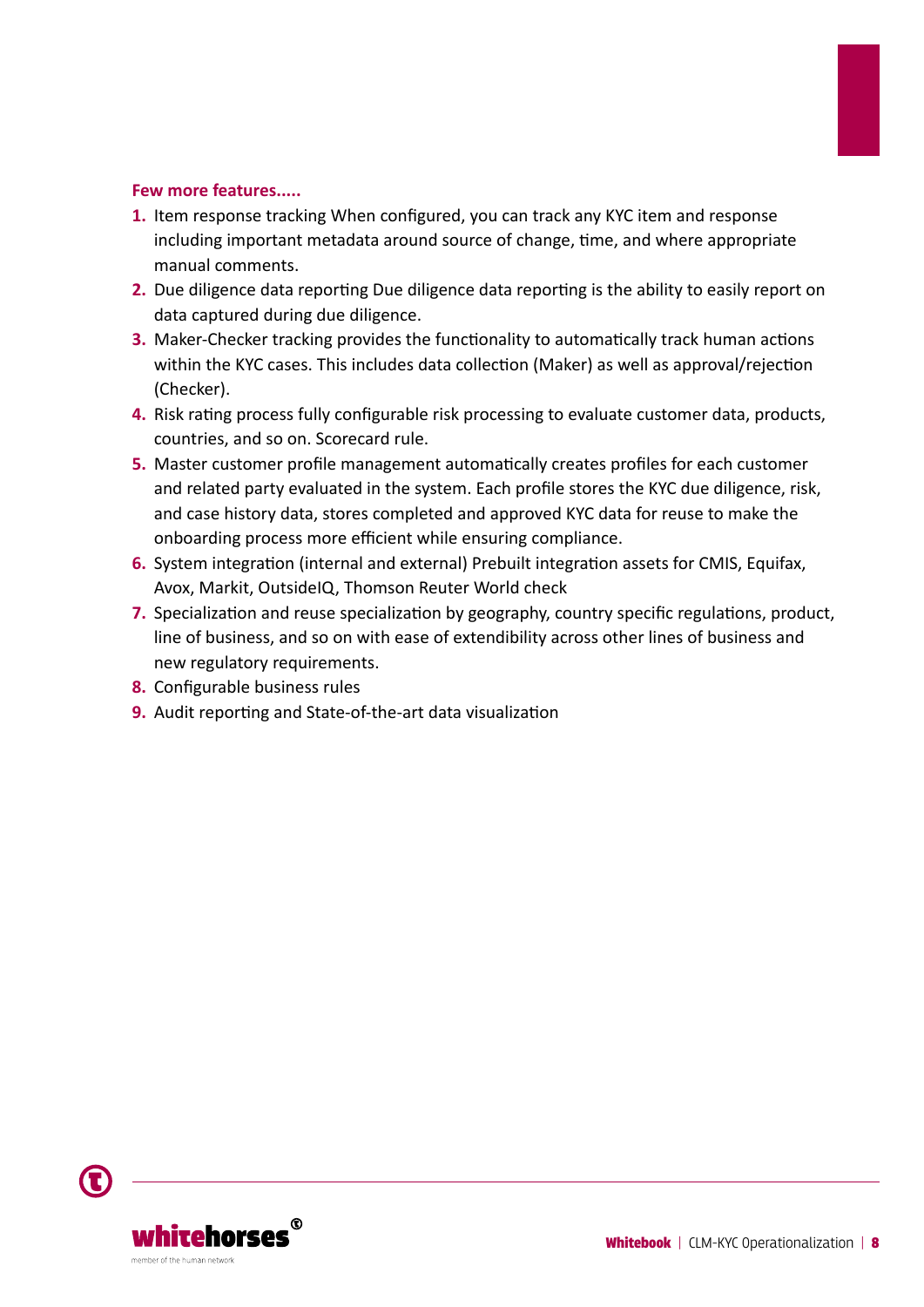#### **Few more features.....**

- **1.** Item response tracking When configured, you can track any KYC item and response including important metadata around source of change, time, and where appropriate manual comments.
- **2.** Due diligence data reporting Due diligence data reporting is the ability to easily report on data captured during due diligence.
- **3.** Maker-Checker tracking provides the functionality to automatically track human actions within the KYC cases. This includes data collection (Maker) as well as approval/rejection (Checker).
- **4.** Risk rating process fully configurable risk processing to evaluate customer data, products, countries, and so on. Scorecard rule.
- **5.** Master customer profile management automatically creates profiles for each customer and related party evaluated in the system. Each profile stores the KYC due diligence, risk, and case history data, stores completed and approved KYC data for reuse to make the onboarding process more efficient while ensuring compliance.
- **6.** System integration (internal and external) Prebuilt integration assets for CMIS, Equifax, Avox, Markit, OutsideIQ, Thomson Reuter World check
- **7.** Specialization and reuse specialization by geography, country specific regulations, product, line of business, and so on with ease of extendibility across other lines of business and new regulatory requirements.
- **8.** Configurable business rules
- **9.** Audit reporting and State-of-the-art data visualization

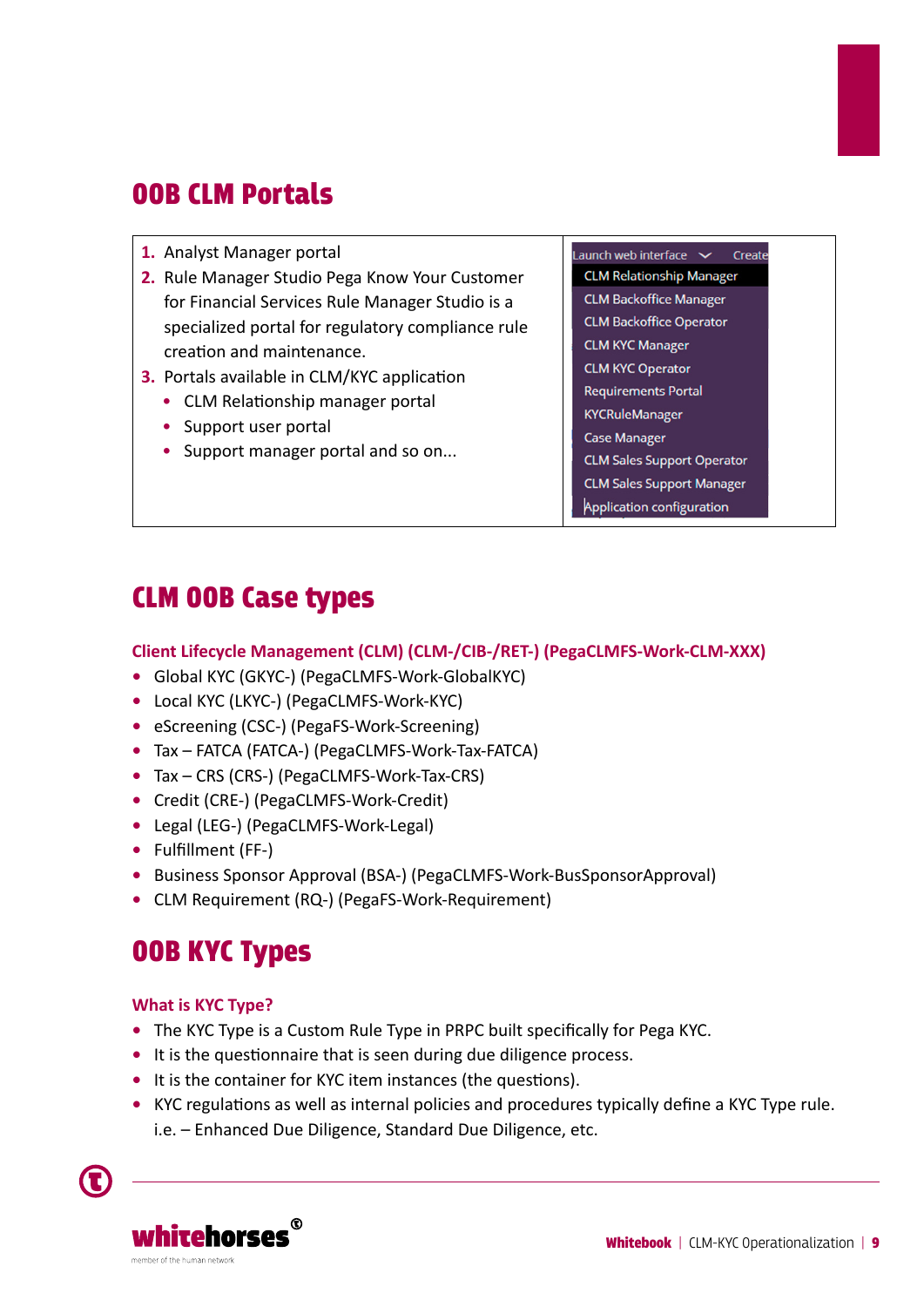## OOB CLM Portals

- **1.** Analyst Manager portal
- **2.** Rule Manager Studio Pega Know Your Customer for Financial Services Rule Manager Studio is a specialized portal for regulatory compliance rule creation and maintenance.
- **3.** Portals available in CLM/KYC application
	- CLM Relationship manager portal
	- Support user portal
	- Support manager portal and so on...

Launch web interface  $\sim$ Create **CLM Relationship Manager CLM Backoffice Manager CLM Backoffice Operator CLM KYC Manager CLM KYC Operator Requirements Portal KYCRuleManager Case Manager CLM Sales Support Operator CLM Sales Support Manager** Application configuration

## CLM OOB Case types

#### **Client Lifecycle Management (CLM) (CLM-/CIB-/RET-) (PegaCLMFS-Work-CLM-XXX)**

- **•** Global KYC (GKYC-) (PegaCLMFS-Work-GlobalKYC)
- **•** Local KYC (LKYC-) (PegaCLMFS-Work-KYC)
- **•** eScreening (CSC-) (PegaFS-Work-Screening)
- **•** Tax FATCA (FATCA-) (PegaCLMFS-Work-Tax-FATCA)
- **•** Tax CRS (CRS-) (PegaCLMFS-Work-Tax-CRS)
- **•** Credit (CRE-) (PegaCLMFS-Work-Credit)
- **•** Legal (LEG-) (PegaCLMFS-Work-Legal)
- **•** Fulfillment (FF-)
- **•** Business Sponsor Approval (BSA-) (PegaCLMFS-Work-BusSponsorApproval)
- **•** CLM Requirement (RQ-) (PegaFS-Work-Requirement)

### OOB KYC Types

#### **What is KYC Type?**

- **•** The KYC Type is a Custom Rule Type in PRPC built specifically for Pega KYC.
- **•** It is the questionnaire that is seen during due diligence process.
- It is the container for KYC item instances (the questions).
- KYC regulations as well as internal policies and procedures typically define a KYC Type rule. i.e. – Enhanced Due Diligence, Standard Due Diligence, etc.